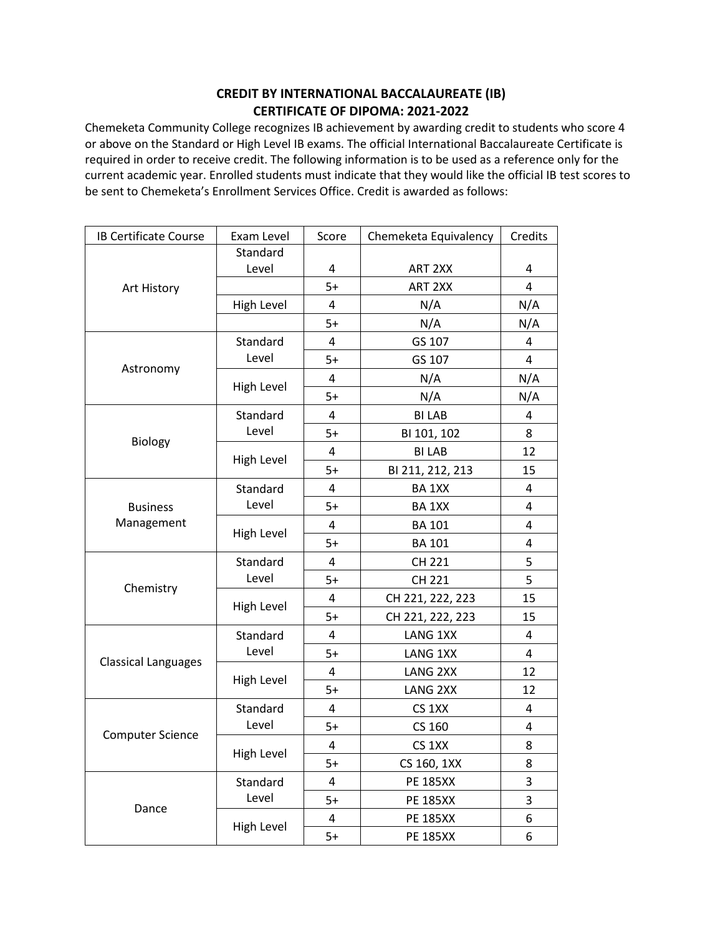## **CREDIT BY INTERNATIONAL BACCALAUREATE (IB) CERTIFICATE OF DIPOMA: 2021-2022**

Chemeketa Community College recognizes IB achievement by awarding credit to students who score 4 or above on the Standard or High Level IB exams. The official International Baccalaureate Certificate is required in order to receive credit. The following information is to be used as a reference only for the current academic year. Enrolled students must indicate that they would like the official IB test scores to be sent to Chemeketa's Enrollment Services Office. Credit is awarded as follows:

| IB Certificate Course      | Exam Level        | Score | Chemeketa Equivalency | Credits |
|----------------------------|-------------------|-------|-----------------------|---------|
| Art History                | Standard          |       |                       |         |
|                            | Level             | 4     | ART 2XX               | 4       |
|                            |                   | $5+$  | ART 2XX               | 4       |
|                            | High Level        | 4     | N/A                   | N/A     |
|                            |                   | $5+$  | N/A                   | N/A     |
|                            | Standard          | 4     | GS 107                | 4       |
|                            | Level             | $5+$  | GS 107                | 4       |
| Astronomy                  |                   | 4     | N/A                   | N/A     |
|                            | High Level        | $5+$  | N/A                   | N/A     |
|                            | Standard          | 4     | <b>BILAB</b>          | 4       |
|                            | Level             | $5+$  | BI 101, 102           | 8       |
| <b>Biology</b>             |                   | 4     | <b>BILAB</b>          | 12      |
|                            | High Level        | $5+$  | BI 211, 212, 213      | 15      |
|                            | Standard          | 4     | BA 1XX                | 4       |
| <b>Business</b>            | Level             | $5+$  | BA 1XX                | 4       |
| Management                 | High Level        | 4     | <b>BA 101</b>         | 4       |
|                            |                   | $5+$  | <b>BA 101</b>         | 4       |
|                            | Standard<br>Level | 4     | CH 221                | 5       |
|                            |                   | $5+$  | CH 221                | 5       |
| Chemistry                  |                   | 4     | CH 221, 222, 223      | 15      |
|                            | High Level        | $5+$  | CH 221, 222, 223      | 15      |
|                            | Standard<br>Level | 4     | LANG 1XX              | 4       |
|                            |                   | $5+$  | LANG 1XX              | 4       |
| <b>Classical Languages</b> | High Level        | 4     | LANG 2XX              | 12      |
|                            |                   | $5+$  | <b>LANG 2XX</b>       | 12      |
|                            | Standard<br>Level | 4     | CS <sub>1</sub> XX    | 4       |
|                            |                   | $5+$  | CS 160                | 4       |
| <b>Computer Science</b>    | High Level        | 4     | CS <sub>1</sub> XX    | 8       |
|                            |                   | $5+$  | CS 160, 1XX           | 8       |
|                            | Standard          | 4     | <b>PE 185XX</b>       | 3       |
|                            | Level             | $5+$  | <b>PE 185XX</b>       | 3       |
| Dance                      |                   | 4     | <b>PE 185XX</b>       | 6       |
|                            | High Level        | $5+$  | <b>PE 185XX</b>       | 6       |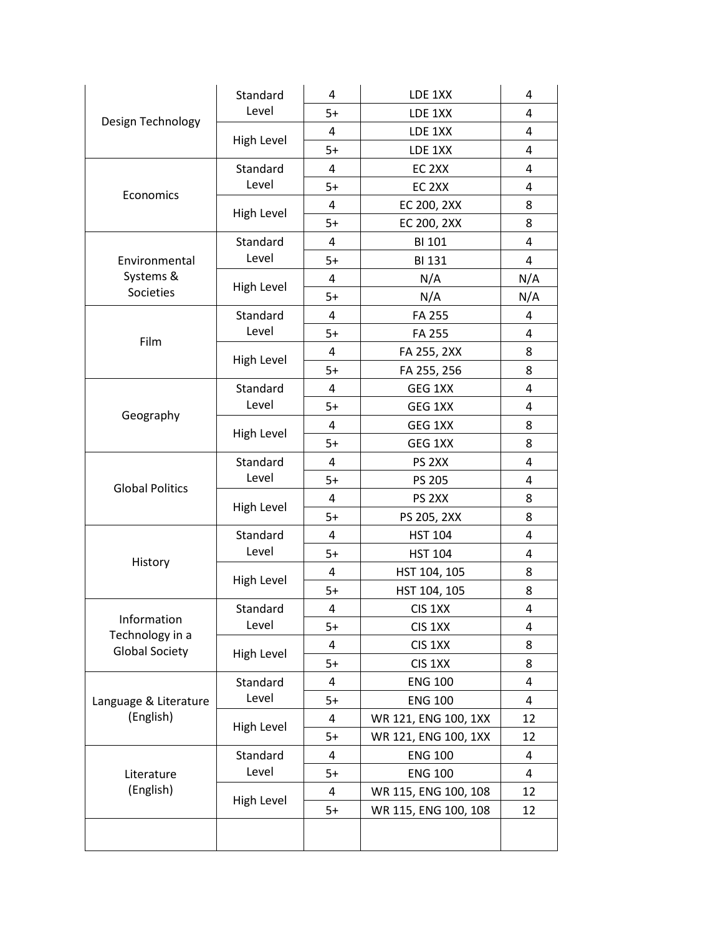| Design Technology                        | Standard<br>Level | 4    | LDE 1XX              | 4   |
|------------------------------------------|-------------------|------|----------------------|-----|
|                                          |                   | $5+$ | LDE 1XX              | 4   |
|                                          | High Level        | 4    | LDE 1XX              | 4   |
|                                          |                   | $5+$ | LDE 1XX              | 4   |
|                                          | Standard          | 4    | EC <sub>2XX</sub>    | 4   |
|                                          | Level             | $5+$ | EC <sub>2XX</sub>    | 4   |
| Economics                                | High Level        | 4    | EC 200, 2XX          | 8   |
|                                          |                   | $5+$ | EC 200, 2XX          | 8   |
|                                          | Standard          | 4    | <b>BI 101</b>        | 4   |
| Environmental                            | Level             | $5+$ | <b>BI 131</b>        | 4   |
| Systems &                                |                   | 4    | N/A                  | N/A |
| Societies                                | High Level        | $5+$ | N/A                  | N/A |
|                                          | Standard          | 4    | FA 255               | 4   |
|                                          | Level             | $5+$ | FA 255               | 4   |
| Film                                     |                   | 4    | FA 255, 2XX          | 8   |
|                                          | High Level        | $5+$ | FA 255, 256          | 8   |
|                                          | Standard          | 4    | GEG 1XX              | 4   |
|                                          | Level             | $5+$ | GEG 1XX              | 4   |
| Geography                                |                   | 4    | GEG 1XX              | 8   |
|                                          | High Level        | $5+$ | GEG 1XX              | 8   |
|                                          | Standard<br>Level | 4    | PS 2XX               | 4   |
|                                          |                   | $5+$ | PS 205               | 4   |
| <b>Global Politics</b>                   | High Level        | 4    | PS 2XX               | 8   |
|                                          |                   | $5+$ | PS 205, 2XX          | 8   |
|                                          | Standard<br>Level | 4    | <b>HST 104</b>       | 4   |
|                                          |                   | $5+$ | <b>HST 104</b>       | 4   |
| History                                  |                   | 4    | HST 104, 105         | 8   |
|                                          | High Level        | $5+$ | HST 104, 105         | 8   |
|                                          | Standard          | 4    | CIS 1XX              | 4   |
| Information                              | Level             | $5+$ | CIS 1XX              | 4   |
| Technology in a<br><b>Global Society</b> |                   | 4    | CIS 1XX              | 8   |
|                                          | High Level        | $5+$ | CIS 1XX              | 8   |
|                                          | Standard          | 4    | <b>ENG 100</b>       | 4   |
| Language & Literature                    | Level             | $5+$ | <b>ENG 100</b>       | 4   |
| (English)                                | High Level        | 4    | WR 121, ENG 100, 1XX | 12  |
|                                          |                   | $5+$ | WR 121, ENG 100, 1XX | 12  |
|                                          | Standard<br>Level | 4    | <b>ENG 100</b>       | 4   |
| Literature                               |                   | $5+$ | <b>ENG 100</b>       | 4   |
| (English)                                | High Level        | 4    | WR 115, ENG 100, 108 | 12  |
|                                          |                   | $5+$ | WR 115, ENG 100, 108 | 12  |
|                                          |                   |      |                      |     |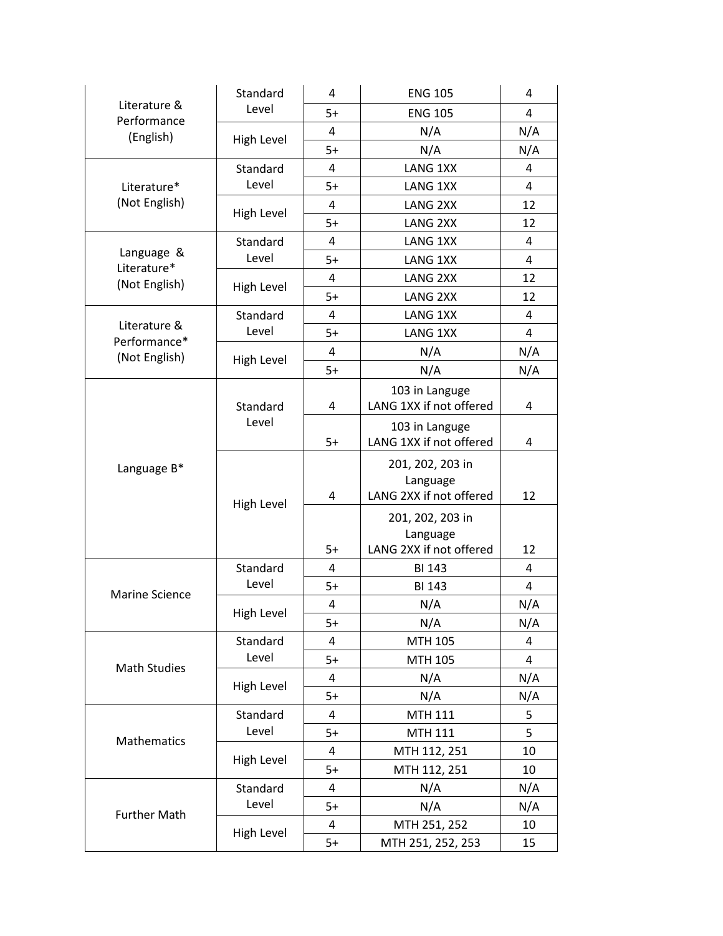| Literature &<br>Performance<br>(English) | Standard<br>Level | 4    | <b>ENG 105</b>          | 4   |
|------------------------------------------|-------------------|------|-------------------------|-----|
|                                          |                   | $5+$ | <b>ENG 105</b>          | 4   |
|                                          |                   | 4    | N/A                     | N/A |
|                                          | High Level        | $5+$ | N/A                     | N/A |
| Literature*<br>(Not English)             | Standard          | 4    | LANG 1XX                | 4   |
|                                          | Level             | $5+$ | LANG 1XX                | 4   |
|                                          | High Level        | 4    | LANG 2XX                | 12  |
|                                          |                   | $5+$ | LANG 2XX                | 12  |
|                                          | Standard<br>Level | 4    | LANG 1XX                | 4   |
| Language &<br>Literature*                |                   | $5+$ | LANG 1XX                | 4   |
| (Not English)                            |                   | 4    | LANG 2XX                | 12  |
|                                          | High Level        | $5+$ | LANG 2XX                | 12  |
|                                          | Standard          | 4    | LANG 1XX                | 4   |
| Literature &<br>Performance*             | Level             | $5+$ | <b>LANG 1XX</b>         | 4   |
| (Not English)                            |                   | 4    | N/A                     | N/A |
|                                          | High Level        | $5+$ | N/A                     | N/A |
|                                          |                   |      | 103 in Languge          |     |
|                                          | Standard<br>Level | 4    | LANG 1XX if not offered | 4   |
|                                          |                   |      | 103 in Languge          |     |
|                                          |                   | $5+$ | LANG 1XX if not offered | 4   |
| Language B*                              | High Level        |      | 201, 202, 203 in        |     |
|                                          |                   |      | Language                |     |
|                                          |                   | 4    | LANG 2XX if not offered | 12  |
|                                          |                   |      | 201, 202, 203 in        |     |
|                                          |                   |      | Language                |     |
|                                          |                   | $5+$ | LANG 2XX if not offered | 12  |
|                                          | Standard          | 4    | <b>BI 143</b>           | 4   |
| <b>Marine Science</b>                    | Level             | $5+$ | <b>BI 143</b>           | 4   |
|                                          | High Level        | 4    | N/A                     | N/A |
|                                          |                   | $5+$ | N/A                     | N/A |
|                                          | Standard          | 4    | <b>MTH 105</b>          | 4   |
| <b>Math Studies</b>                      | Level             | $5+$ | <b>MTH 105</b>          | 4   |
|                                          | High Level        | 4    | N/A                     | N/A |
|                                          |                   | $5+$ | N/A                     | N/A |
|                                          | Standard          | 4    | MTH 111                 | 5   |
| Mathematics                              | Level             | $5+$ | MTH 111                 | 5   |
|                                          | High Level        | 4    | MTH 112, 251            | 10  |
|                                          |                   | $5+$ | MTH 112, 251            | 10  |
|                                          | Standard          | 4    | N/A                     | N/A |
| <b>Further Math</b>                      | Level             | $5+$ | N/A                     | N/A |
|                                          | High Level        | 4    | MTH 251, 252            | 10  |
|                                          |                   | $5+$ | MTH 251, 252, 253       | 15  |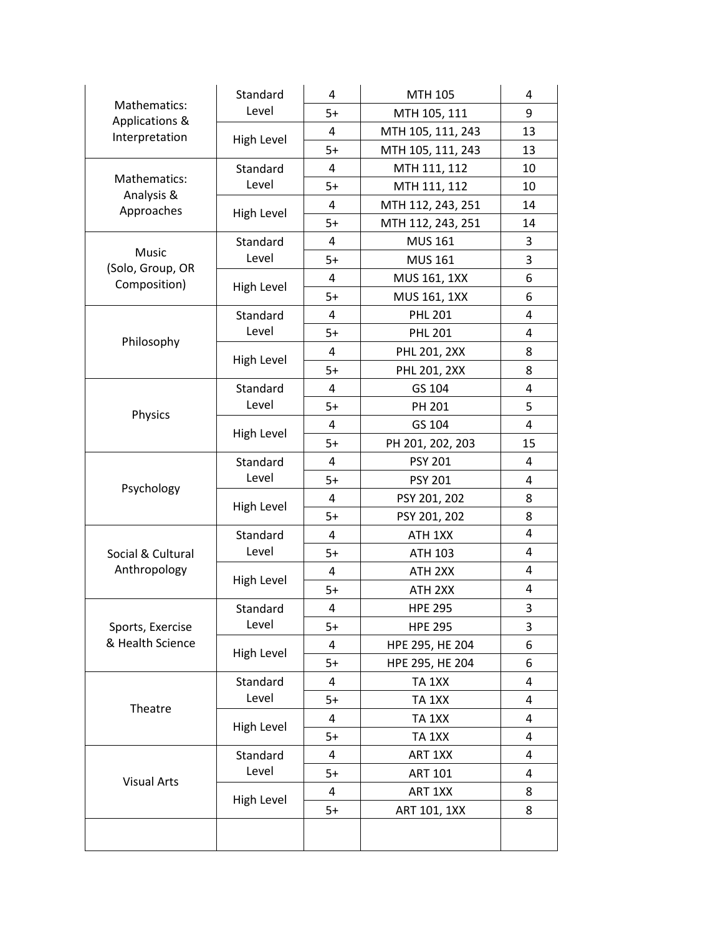| Mathematics:<br>Applications &<br>Interpretation | Standard<br>Level | 4    | <b>MTH 105</b>    | 4  |
|--------------------------------------------------|-------------------|------|-------------------|----|
|                                                  |                   | $5+$ | MTH 105, 111      | 9  |
|                                                  | High Level        | 4    | MTH 105, 111, 243 | 13 |
|                                                  |                   | $5+$ | MTH 105, 111, 243 | 13 |
| Mathematics:                                     | Standard          | 4    | MTH 111, 112      | 10 |
|                                                  | Level             | $5+$ | MTH 111, 112      | 10 |
| Analysis &<br>Approaches                         | High Level        | 4    | MTH 112, 243, 251 | 14 |
|                                                  |                   | $5+$ | MTH 112, 243, 251 | 14 |
|                                                  | Standard          | 4    | <b>MUS 161</b>    | 3  |
| Music                                            | Level             | $5+$ | <b>MUS 161</b>    | 3  |
| (Solo, Group, OR<br>Composition)                 |                   | 4    | MUS 161, 1XX      | 6  |
|                                                  | <b>High Level</b> | $5+$ | MUS 161, 1XX      | 6  |
|                                                  | Standard          | 4    | <b>PHL 201</b>    | 4  |
|                                                  | Level             | $5+$ | <b>PHL 201</b>    | 4  |
| Philosophy                                       |                   | 4    | PHL 201, 2XX      | 8  |
|                                                  | High Level        | $5+$ | PHL 201, 2XX      | 8  |
|                                                  | Standard          | 4    | GS 104            | 4  |
|                                                  | Level             | $5+$ | PH 201            | 5  |
| Physics                                          |                   | 4    | GS 104            | 4  |
|                                                  | High Level        | $5+$ | PH 201, 202, 203  | 15 |
|                                                  | Standard          | 4    | <b>PSY 201</b>    | 4  |
|                                                  | Level             | $5+$ | <b>PSY 201</b>    | 4  |
| Psychology                                       | High Level        | 4    | PSY 201, 202      | 8  |
|                                                  |                   | $5+$ | PSY 201, 202      | 8  |
|                                                  | Standard<br>Level | 4    | ATH 1XX           | 4  |
| Social & Cultural                                |                   | $5+$ | ATH 103           | 4  |
| Anthropology                                     |                   | 4    | ATH 2XX           | 4  |
|                                                  | High Level        | $5+$ | ATH 2XX           | 4  |
|                                                  | Standard          | 4    | <b>HPE 295</b>    | 3  |
| Sports, Exercise                                 | Level             | $5+$ | <b>HPE 295</b>    | 3  |
| & Health Science                                 | High Level        | 4    | HPE 295, HE 204   | 6  |
|                                                  |                   | $5+$ | HPE 295, HE 204   | 6  |
|                                                  | Standard          | 4    | TA 1XX            | 4  |
|                                                  | Level             | $5+$ | TA 1XX            | 4  |
| Theatre                                          | High Level        | 4    | TA 1XX            | 4  |
|                                                  |                   | $5+$ | TA 1XX            | 4  |
|                                                  | Standard          | 4    | ART 1XX           | 4  |
|                                                  | Level             | $5+$ | <b>ART 101</b>    | 4  |
| <b>Visual Arts</b>                               |                   | 4    | ART 1XX           | 8  |
|                                                  | High Level        | $5+$ | ART 101, 1XX      | 8  |
|                                                  |                   |      |                   |    |
|                                                  |                   |      |                   |    |